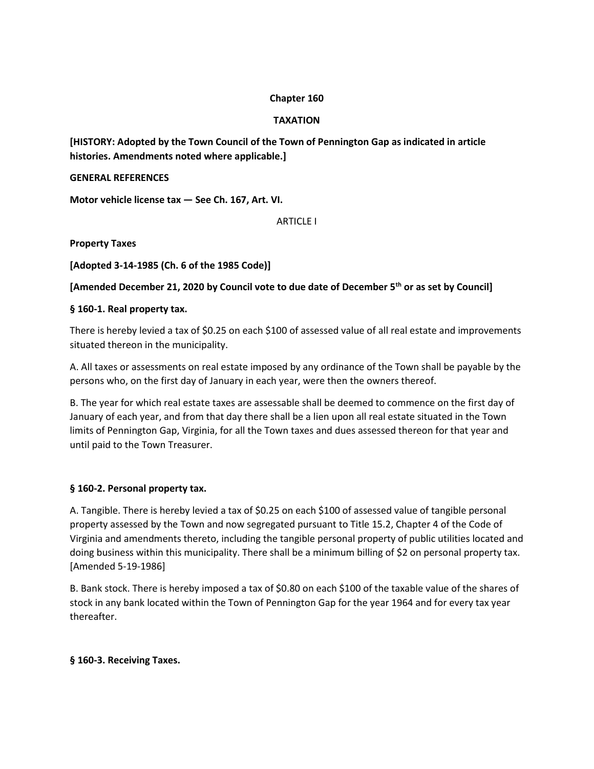## **Chapter 160**

## **TAXATION**

**[HISTORY: Adopted by the Town Council of the Town of Pennington Gap as indicated in article histories. Amendments noted where applicable.]** 

#### **GENERAL REFERENCES**

**Motor vehicle license tax — See Ch. 167, Art. VI.** 

ARTICLE I

**Property Taxes** 

**[Adopted 3-14-1985 (Ch. 6 of the 1985 Code)]** 

**[Amended December 21, 2020 by Council vote to due date of December 5th or as set by Council]**

## **§ 160-1. Real property tax.**

There is hereby levied a tax of \$0.25 on each \$100 of assessed value of all real estate and improvements situated thereon in the municipality.

A. All taxes or assessments on real estate imposed by any ordinance of the Town shall be payable by the persons who, on the first day of January in each year, were then the owners thereof.

B. The year for which real estate taxes are assessable shall be deemed to commence on the first day of January of each year, and from that day there shall be a lien upon all real estate situated in the Town limits of Pennington Gap, Virginia, for all the Town taxes and dues assessed thereon for that year and until paid to the Town Treasurer.

## **§ 160-2. Personal property tax.**

A. Tangible. There is hereby levied a tax of \$0.25 on each \$100 of assessed value of tangible personal property assessed by the Town and now segregated pursuant to Title 15.2, Chapter 4 of the Code of Virginia and amendments thereto, including the tangible personal property of public utilities located and doing business within this municipality. There shall be a minimum billing of \$2 on personal property tax. [Amended 5-19-1986]

B. Bank stock. There is hereby imposed a tax of \$0.80 on each \$100 of the taxable value of the shares of stock in any bank located within the Town of Pennington Gap for the year 1964 and for every tax year thereafter.

# **§ 160-3. Receiving Taxes.**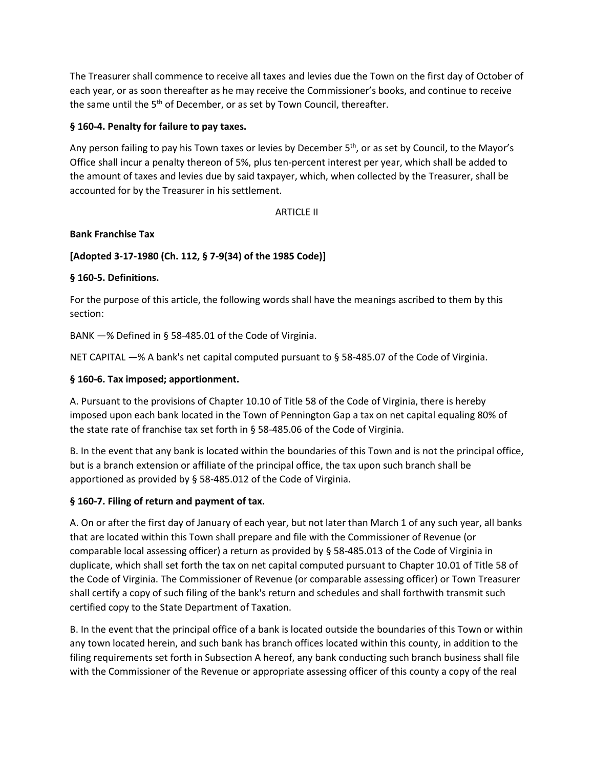The Treasurer shall commence to receive all taxes and levies due the Town on the first day of October of each year, or as soon thereafter as he may receive the Commissioner's books, and continue to receive the same until the 5<sup>th</sup> of December, or as set by Town Council, thereafter.

## **§ 160-4. Penalty for failure to pay taxes.**

Any person failing to pay his Town taxes or levies by December  $5<sup>th</sup>$ , or as set by Council, to the Mayor's Office shall incur a penalty thereon of 5%, plus ten-percent interest per year, which shall be added to the amount of taxes and levies due by said taxpayer, which, when collected by the Treasurer, shall be accounted for by the Treasurer in his settlement.

## ARTICLE II

## **Bank Franchise Tax**

# **[Adopted 3-17-1980 (Ch. 112, § 7-9(34) of the 1985 Code)]**

# **§ 160-5. Definitions.**

For the purpose of this article, the following words shall have the meanings ascribed to them by this section:

BANK —% Defined in § 58-485.01 of the Code of Virginia.

NET CAPITAL —% A bank's net capital computed pursuant to § 58-485.07 of the Code of Virginia.

## **§ 160-6. Tax imposed; apportionment.**

A. Pursuant to the provisions of Chapter 10.10 of Title 58 of the Code of Virginia, there is hereby imposed upon each bank located in the Town of Pennington Gap a tax on net capital equaling 80% of the state rate of franchise tax set forth in § 58-485.06 of the Code of Virginia.

B. In the event that any bank is located within the boundaries of this Town and is not the principal office, but is a branch extension or affiliate of the principal office, the tax upon such branch shall be apportioned as provided by § 58-485.012 of the Code of Virginia.

## **§ 160-7. Filing of return and payment of tax.**

A. On or after the first day of January of each year, but not later than March 1 of any such year, all banks that are located within this Town shall prepare and file with the Commissioner of Revenue (or comparable local assessing officer) a return as provided by § 58-485.013 of the Code of Virginia in duplicate, which shall set forth the tax on net capital computed pursuant to Chapter 10.01 of Title 58 of the Code of Virginia. The Commissioner of Revenue (or comparable assessing officer) or Town Treasurer shall certify a copy of such filing of the bank's return and schedules and shall forthwith transmit such certified copy to the State Department of Taxation.

B. In the event that the principal office of a bank is located outside the boundaries of this Town or within any town located herein, and such bank has branch offices located within this county, in addition to the filing requirements set forth in Subsection A hereof, any bank conducting such branch business shall file with the Commissioner of the Revenue or appropriate assessing officer of this county a copy of the real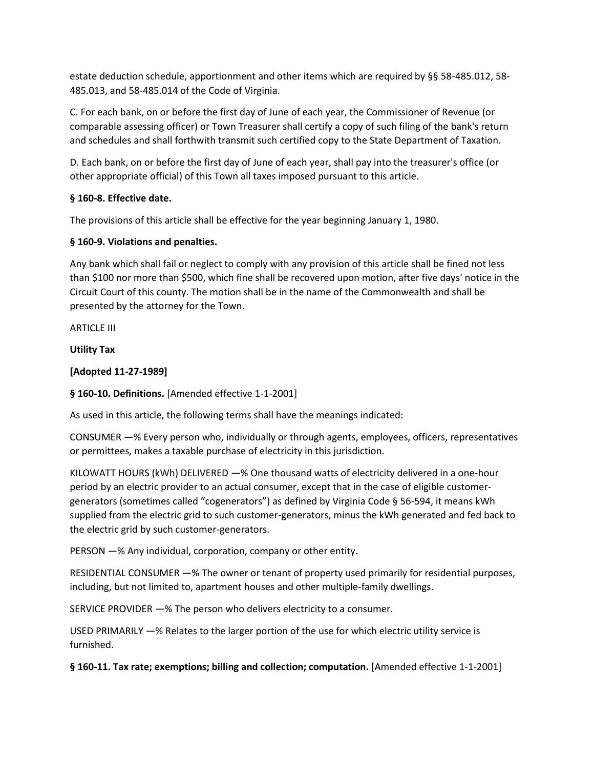estate deduction schedule, apportionment and other items which are required by §§ 58-485.012, 58- 485.013, and 58-485.014 of the Code of Virginia.

C. For each bank, on or before the first day of June of each year, the Commissioner of Revenue (or comparable assessing officer) or Town Treasurer shall certify a copy of such filing of the bank's return and schedules and shall forthwith transmit such certified copy to the State Department of Taxation.

D. Each bank, on or before the first day of June of each year, shall pay into the treasurer's office (or other appropriate official) of this Town all taxes imposed pursuant to this article.

# **§ 160-8. Effective date.**

The provisions of this article shall be effective for the year beginning January 1, 1980.

## **§ 160-9. Violations and penalties.**

Any bank which shall fail or neglect to comply with any provision of this article shall be fined not less than \$100 nor more than \$500, which fine shall be recovered upon motion, after five days' notice in the Circuit Court of this county. The motion shall be in the name of the Commonwealth and shall be presented by the attorney for the Town.

ARTICLE III

**Utility Tax** 

**[Adopted 11-27-1989]** 

**§ 160-10. Definitions.** [Amended effective 1-1-2001]

As used in this article, the following terms shall have the meanings indicated:

CONSUMER —% Every person who, individually or through agents, employees, officers, representatives or permittees, makes a taxable purchase of electricity in this jurisdiction.

KILOWATT HOURS (kWh) DELIVERED —% One thousand watts of electricity delivered in a one-hour period by an electric provider to an actual consumer, except that in the case of eligible customergenerators (sometimes called "cogenerators") as defined by Virginia Code § 56-594, it means kWh supplied from the electric grid to such customer-generators, minus the kWh generated and fed back to the electric grid by such customer-generators.

PERSON —% Any individual, corporation, company or other entity.

RESIDENTIAL CONSUMER —% The owner or tenant of property used primarily for residential purposes, including, but not limited to, apartment houses and other multiple-family dwellings.

SERVICE PROVIDER —% The person who delivers electricity to a consumer.

USED PRIMARILY —% Relates to the larger portion of the use for which electric utility service is furnished.

**§ 160-11. Tax rate; exemptions; billing and collection; computation.** [Amended effective 1-1-2001]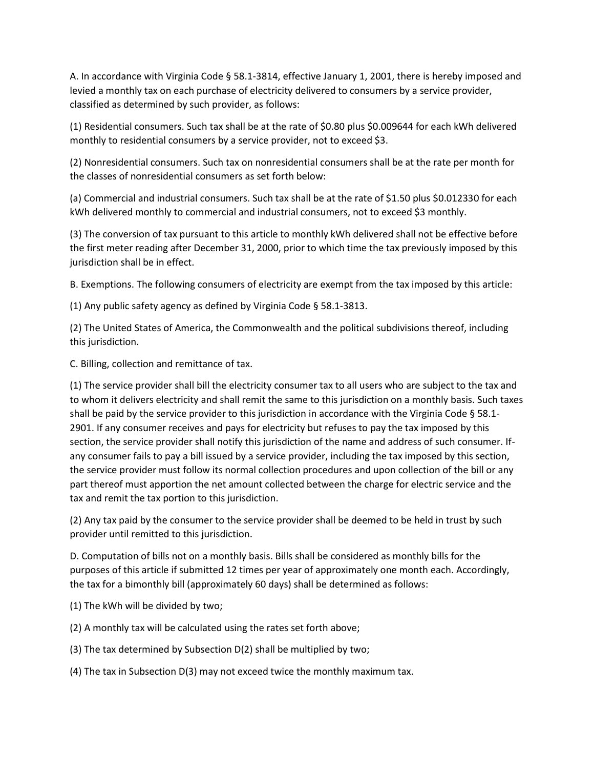A. In accordance with Virginia Code § 58.1-3814, effective January 1, 2001, there is hereby imposed and levied a monthly tax on each purchase of electricity delivered to consumers by a service provider, classified as determined by such provider, as follows:

(1) Residential consumers. Such tax shall be at the rate of \$0.80 plus \$0.009644 for each kWh delivered monthly to residential consumers by a service provider, not to exceed \$3.

(2) Nonresidential consumers. Such tax on nonresidential consumers shall be at the rate per month for the classes of nonresidential consumers as set forth below:

(a) Commercial and industrial consumers. Such tax shall be at the rate of \$1.50 plus \$0.012330 for each kWh delivered monthly to commercial and industrial consumers, not to exceed \$3 monthly.

(3) The conversion of tax pursuant to this article to monthly kWh delivered shall not be effective before the first meter reading after December 31, 2000, prior to which time the tax previously imposed by this jurisdiction shall be in effect.

B. Exemptions. The following consumers of electricity are exempt from the tax imposed by this article:

(1) Any public safety agency as defined by Virginia Code § 58.1-3813.

(2) The United States of America, the Commonwealth and the political subdivisions thereof, including this jurisdiction.

C. Billing, collection and remittance of tax.

(1) The service provider shall bill the electricity consumer tax to all users who are subject to the tax and to whom it delivers electricity and shall remit the same to this jurisdiction on a monthly basis. Such taxes shall be paid by the service provider to this jurisdiction in accordance with the Virginia Code § 58.1- 2901. If any consumer receives and pays for electricity but refuses to pay the tax imposed by this section, the service provider shall notify this jurisdiction of the name and address of such consumer. Ifany consumer fails to pay a bill issued by a service provider, including the tax imposed by this section, the service provider must follow its normal collection procedures and upon collection of the bill or any part thereof must apportion the net amount collected between the charge for electric service and the tax and remit the tax portion to this jurisdiction.

(2) Any tax paid by the consumer to the service provider shall be deemed to be held in trust by such provider until remitted to this jurisdiction.

D. Computation of bills not on a monthly basis. Bills shall be considered as monthly bills for the purposes of this article if submitted 12 times per year of approximately one month each. Accordingly, the tax for a bimonthly bill (approximately 60 days) shall be determined as follows:

(1) The kWh will be divided by two;

(2) A monthly tax will be calculated using the rates set forth above;

(3) The tax determined by Subsection D(2) shall be multiplied by two;

(4) The tax in Subsection D(3) may not exceed twice the monthly maximum tax.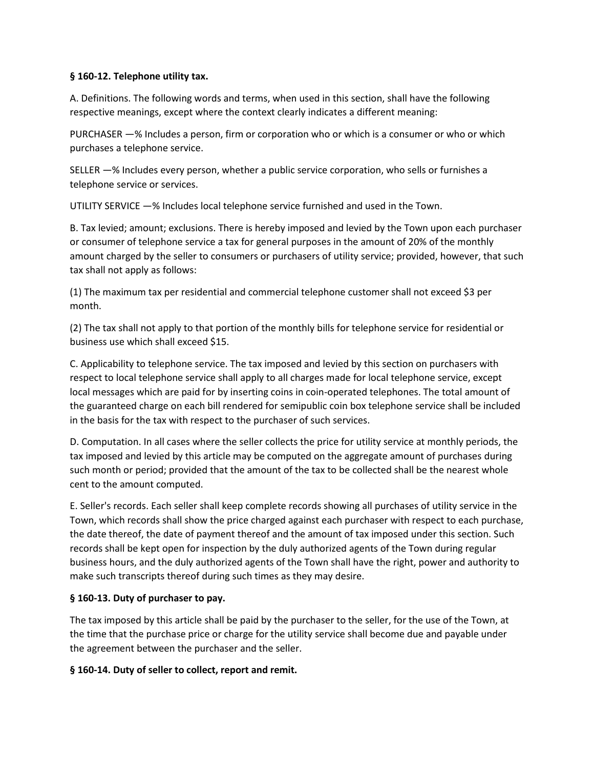## **§ 160-12. Telephone utility tax.**

A. Definitions. The following words and terms, when used in this section, shall have the following respective meanings, except where the context clearly indicates a different meaning:

PURCHASER —% Includes a person, firm or corporation who or which is a consumer or who or which purchases a telephone service.

SELLER —% Includes every person, whether a public service corporation, who sells or furnishes a telephone service or services.

UTILITY SERVICE —% Includes local telephone service furnished and used in the Town.

B. Tax levied; amount; exclusions. There is hereby imposed and levied by the Town upon each purchaser or consumer of telephone service a tax for general purposes in the amount of 20% of the monthly amount charged by the seller to consumers or purchasers of utility service; provided, however, that such tax shall not apply as follows:

(1) The maximum tax per residential and commercial telephone customer shall not exceed \$3 per month.

(2) The tax shall not apply to that portion of the monthly bills for telephone service for residential or business use which shall exceed \$15.

C. Applicability to telephone service. The tax imposed and levied by this section on purchasers with respect to local telephone service shall apply to all charges made for local telephone service, except local messages which are paid for by inserting coins in coin-operated telephones. The total amount of the guaranteed charge on each bill rendered for semipublic coin box telephone service shall be included in the basis for the tax with respect to the purchaser of such services.

D. Computation. In all cases where the seller collects the price for utility service at monthly periods, the tax imposed and levied by this article may be computed on the aggregate amount of purchases during such month or period; provided that the amount of the tax to be collected shall be the nearest whole cent to the amount computed.

E. Seller's records. Each seller shall keep complete records showing all purchases of utility service in the Town, which records shall show the price charged against each purchaser with respect to each purchase, the date thereof, the date of payment thereof and the amount of tax imposed under this section. Such records shall be kept open for inspection by the duly authorized agents of the Town during regular business hours, and the duly authorized agents of the Town shall have the right, power and authority to make such transcripts thereof during such times as they may desire.

# **§ 160-13. Duty of purchaser to pay.**

The tax imposed by this article shall be paid by the purchaser to the seller, for the use of the Town, at the time that the purchase price or charge for the utility service shall become due and payable under the agreement between the purchaser and the seller.

## **§ 160-14. Duty of seller to collect, report and remit.**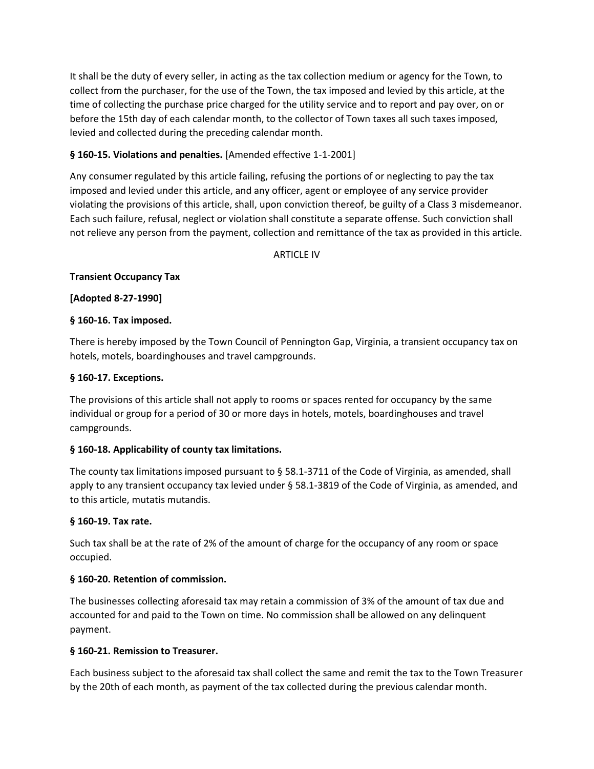It shall be the duty of every seller, in acting as the tax collection medium or agency for the Town, to collect from the purchaser, for the use of the Town, the tax imposed and levied by this article, at the time of collecting the purchase price charged for the utility service and to report and pay over, on or before the 15th day of each calendar month, to the collector of Town taxes all such taxes imposed, levied and collected during the preceding calendar month.

# **§ 160-15. Violations and penalties.** [Amended effective 1-1-2001]

Any consumer regulated by this article failing, refusing the portions of or neglecting to pay the tax imposed and levied under this article, and any officer, agent or employee of any service provider violating the provisions of this article, shall, upon conviction thereof, be guilty of a Class 3 misdemeanor. Each such failure, refusal, neglect or violation shall constitute a separate offense. Such conviction shall not relieve any person from the payment, collection and remittance of the tax as provided in this article.

**ARTICLE IV** 

# **Transient Occupancy Tax**

**[Adopted 8-27-1990]** 

## **§ 160-16. Tax imposed.**

There is hereby imposed by the Town Council of Pennington Gap, Virginia, a transient occupancy tax on hotels, motels, boardinghouses and travel campgrounds.

## **§ 160-17. Exceptions.**

The provisions of this article shall not apply to rooms or spaces rented for occupancy by the same individual or group for a period of 30 or more days in hotels, motels, boardinghouses and travel campgrounds.

## **§ 160-18. Applicability of county tax limitations.**

The county tax limitations imposed pursuant to § 58.1-3711 of the Code of Virginia, as amended, shall apply to any transient occupancy tax levied under § 58.1-3819 of the Code of Virginia, as amended, and to this article, mutatis mutandis.

## **§ 160-19. Tax rate.**

Such tax shall be at the rate of 2% of the amount of charge for the occupancy of any room or space occupied.

## **§ 160-20. Retention of commission.**

The businesses collecting aforesaid tax may retain a commission of 3% of the amount of tax due and accounted for and paid to the Town on time. No commission shall be allowed on any delinquent payment.

# **§ 160-21. Remission to Treasurer.**

Each business subject to the aforesaid tax shall collect the same and remit the tax to the Town Treasurer by the 20th of each month, as payment of the tax collected during the previous calendar month.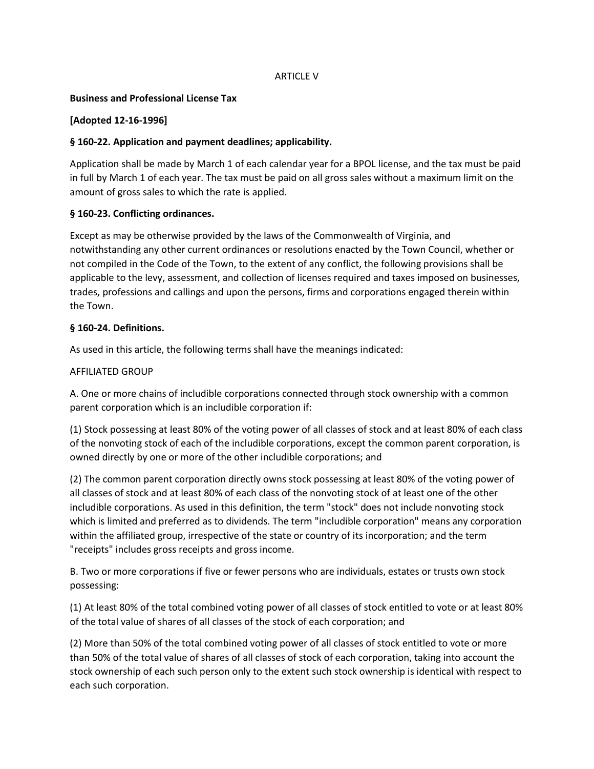## ARTICLE V

#### **Business and Professional License Tax**

## **[Adopted 12-16-1996]**

## **§ 160-22. Application and payment deadlines; applicability.**

Application shall be made by March 1 of each calendar year for a BPOL license, and the tax must be paid in full by March 1 of each year. The tax must be paid on all gross sales without a maximum limit on the amount of gross sales to which the rate is applied.

## **§ 160-23. Conflicting ordinances.**

Except as may be otherwise provided by the laws of the Commonwealth of Virginia, and notwithstanding any other current ordinances or resolutions enacted by the Town Council, whether or not compiled in the Code of the Town, to the extent of any conflict, the following provisions shall be applicable to the levy, assessment, and collection of licenses required and taxes imposed on businesses, trades, professions and callings and upon the persons, firms and corporations engaged therein within the Town.

#### **§ 160-24. Definitions.**

As used in this article, the following terms shall have the meanings indicated:

#### AFFILIATED GROUP

A. One or more chains of includible corporations connected through stock ownership with a common parent corporation which is an includible corporation if:

(1) Stock possessing at least 80% of the voting power of all classes of stock and at least 80% of each class of the nonvoting stock of each of the includible corporations, except the common parent corporation, is owned directly by one or more of the other includible corporations; and

(2) The common parent corporation directly owns stock possessing at least 80% of the voting power of all classes of stock and at least 80% of each class of the nonvoting stock of at least one of the other includible corporations. As used in this definition, the term "stock" does not include nonvoting stock which is limited and preferred as to dividends. The term "includible corporation" means any corporation within the affiliated group, irrespective of the state or country of its incorporation; and the term "receipts" includes gross receipts and gross income.

B. Two or more corporations if five or fewer persons who are individuals, estates or trusts own stock possessing:

(1) At least 80% of the total combined voting power of all classes of stock entitled to vote or at least 80% of the total value of shares of all classes of the stock of each corporation; and

(2) More than 50% of the total combined voting power of all classes of stock entitled to vote or more than 50% of the total value of shares of all classes of stock of each corporation, taking into account the stock ownership of each such person only to the extent such stock ownership is identical with respect to each such corporation.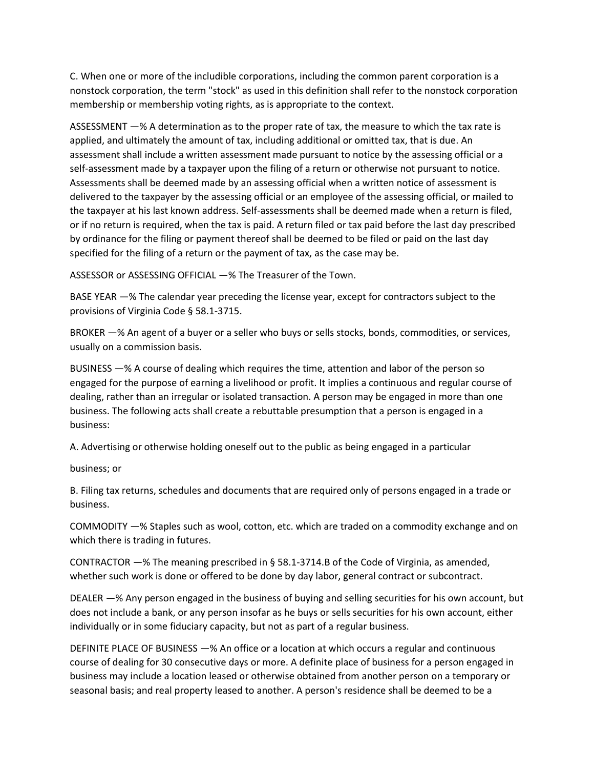C. When one or more of the includible corporations, including the common parent corporation is a nonstock corporation, the term "stock" as used in this definition shall refer to the nonstock corporation membership or membership voting rights, as is appropriate to the context.

ASSESSMENT —% A determination as to the proper rate of tax, the measure to which the tax rate is applied, and ultimately the amount of tax, including additional or omitted tax, that is due. An assessment shall include a written assessment made pursuant to notice by the assessing official or a self-assessment made by a taxpayer upon the filing of a return or otherwise not pursuant to notice. Assessments shall be deemed made by an assessing official when a written notice of assessment is delivered to the taxpayer by the assessing official or an employee of the assessing official, or mailed to the taxpayer at his last known address. Self-assessments shall be deemed made when a return is filed, or if no return is required, when the tax is paid. A return filed or tax paid before the last day prescribed by ordinance for the filing or payment thereof shall be deemed to be filed or paid on the last day specified for the filing of a return or the payment of tax, as the case may be.

ASSESSOR or ASSESSING OFFICIAL —% The Treasurer of the Town.

BASE YEAR —% The calendar year preceding the license year, except for contractors subject to the provisions of Virginia Code § 58.1-3715.

BROKER —% An agent of a buyer or a seller who buys or sells stocks, bonds, commodities, or services, usually on a commission basis.

BUSINESS —% A course of dealing which requires the time, attention and labor of the person so engaged for the purpose of earning a livelihood or profit. It implies a continuous and regular course of dealing, rather than an irregular or isolated transaction. A person may be engaged in more than one business. The following acts shall create a rebuttable presumption that a person is engaged in a business:

A. Advertising or otherwise holding oneself out to the public as being engaged in a particular

business; or

B. Filing tax returns, schedules and documents that are required only of persons engaged in a trade or business.

COMMODITY —% Staples such as wool, cotton, etc. which are traded on a commodity exchange and on which there is trading in futures.

CONTRACTOR —% The meaning prescribed in § 58.1-3714.B of the Code of Virginia, as amended, whether such work is done or offered to be done by day labor, general contract or subcontract.

DEALER —% Any person engaged in the business of buying and selling securities for his own account, but does not include a bank, or any person insofar as he buys or sells securities for his own account, either individually or in some fiduciary capacity, but not as part of a regular business.

DEFINITE PLACE OF BUSINESS —% An office or a location at which occurs a regular and continuous course of dealing for 30 consecutive days or more. A definite place of business for a person engaged in business may include a location leased or otherwise obtained from another person on a temporary or seasonal basis; and real property leased to another. A person's residence shall be deemed to be a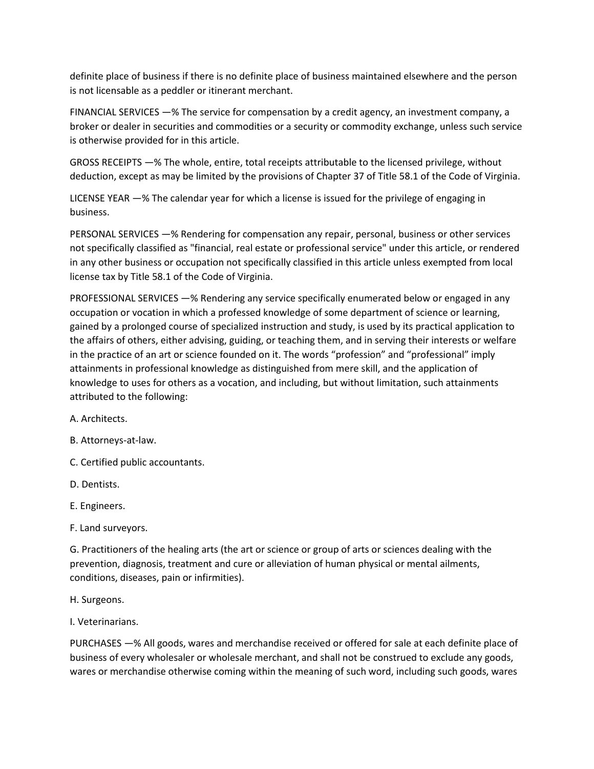definite place of business if there is no definite place of business maintained elsewhere and the person is not licensable as a peddler or itinerant merchant.

FINANCIAL SERVICES —% The service for compensation by a credit agency, an investment company, a broker or dealer in securities and commodities or a security or commodity exchange, unless such service is otherwise provided for in this article.

GROSS RECEIPTS —% The whole, entire, total receipts attributable to the licensed privilege, without deduction, except as may be limited by the provisions of Chapter 37 of Title 58.1 of the Code of Virginia.

LICENSE YEAR —% The calendar year for which a license is issued for the privilege of engaging in business.

PERSONAL SERVICES —% Rendering for compensation any repair, personal, business or other services not specifically classified as "financial, real estate or professional service" under this article, or rendered in any other business or occupation not specifically classified in this article unless exempted from local license tax by Title 58.1 of the Code of Virginia.

PROFESSIONAL SERVICES —% Rendering any service specifically enumerated below or engaged in any occupation or vocation in which a professed knowledge of some department of science or learning, gained by a prolonged course of specialized instruction and study, is used by its practical application to the affairs of others, either advising, guiding, or teaching them, and in serving their interests or welfare in the practice of an art or science founded on it. The words "profession" and "professional" imply attainments in professional knowledge as distinguished from mere skill, and the application of knowledge to uses for others as a vocation, and including, but without limitation, such attainments attributed to the following:

A. Architects.

B. Attorneys-at-law.

C. Certified public accountants.

D. Dentists.

E. Engineers.

F. Land surveyors.

G. Practitioners of the healing arts (the art or science or group of arts or sciences dealing with the prevention, diagnosis, treatment and cure or alleviation of human physical or mental ailments, conditions, diseases, pain or infirmities).

H. Surgeons.

I. Veterinarians.

PURCHASES —% All goods, wares and merchandise received or offered for sale at each definite place of business of every wholesaler or wholesale merchant, and shall not be construed to exclude any goods, wares or merchandise otherwise coming within the meaning of such word, including such goods, wares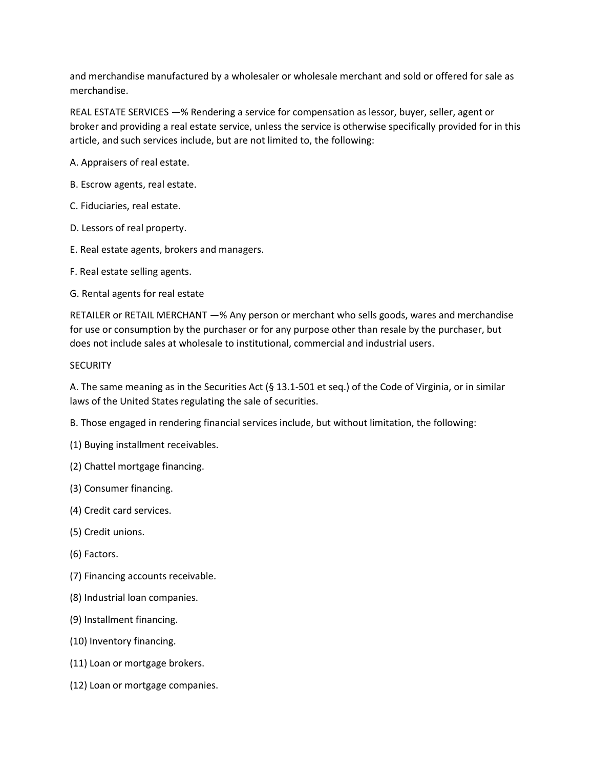and merchandise manufactured by a wholesaler or wholesale merchant and sold or offered for sale as merchandise.

REAL ESTATE SERVICES —% Rendering a service for compensation as lessor, buyer, seller, agent or broker and providing a real estate service, unless the service is otherwise specifically provided for in this article, and such services include, but are not limited to, the following:

A. Appraisers of real estate.

B. Escrow agents, real estate.

C. Fiduciaries, real estate.

D. Lessors of real property.

E. Real estate agents, brokers and managers.

F. Real estate selling agents.

G. Rental agents for real estate

RETAILER or RETAIL MERCHANT —% Any person or merchant who sells goods, wares and merchandise for use or consumption by the purchaser or for any purpose other than resale by the purchaser, but does not include sales at wholesale to institutional, commercial and industrial users.

#### **SECURITY**

A. The same meaning as in the Securities Act (§ 13.1-501 et seq.) of the Code of Virginia, or in similar laws of the United States regulating the sale of securities.

B. Those engaged in rendering financial services include, but without limitation, the following:

(1) Buying installment receivables.

(2) Chattel mortgage financing.

(3) Consumer financing.

- (4) Credit card services.
- (5) Credit unions.
- (6) Factors.
- (7) Financing accounts receivable.
- (8) Industrial loan companies.
- (9) Installment financing.
- (10) Inventory financing.
- (11) Loan or mortgage brokers.
- (12) Loan or mortgage companies.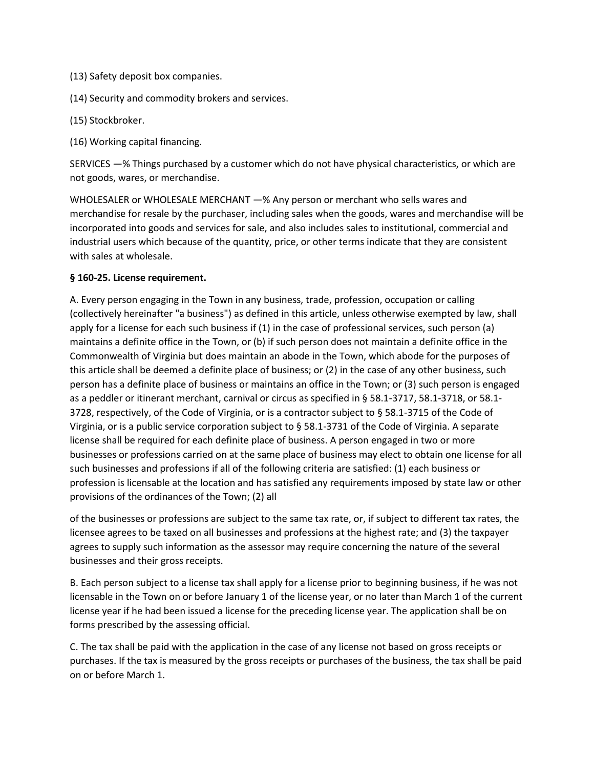- (13) Safety deposit box companies.
- (14) Security and commodity brokers and services.
- (15) Stockbroker.
- (16) Working capital financing.

SERVICES —% Things purchased by a customer which do not have physical characteristics, or which are not goods, wares, or merchandise.

WHOLESALER or WHOLESALE MERCHANT —% Any person or merchant who sells wares and merchandise for resale by the purchaser, including sales when the goods, wares and merchandise will be incorporated into goods and services for sale, and also includes sales to institutional, commercial and industrial users which because of the quantity, price, or other terms indicate that they are consistent with sales at wholesale.

#### **§ 160-25. License requirement.**

A. Every person engaging in the Town in any business, trade, profession, occupation or calling (collectively hereinafter "a business") as defined in this article, unless otherwise exempted by law, shall apply for a license for each such business if (1) in the case of professional services, such person (a) maintains a definite office in the Town, or (b) if such person does not maintain a definite office in the Commonwealth of Virginia but does maintain an abode in the Town, which abode for the purposes of this article shall be deemed a definite place of business; or (2) in the case of any other business, such person has a definite place of business or maintains an office in the Town; or (3) such person is engaged as a peddler or itinerant merchant, carnival or circus as specified in § 58.1-3717, 58.1-3718, or 58.1- 3728, respectively, of the Code of Virginia, or is a contractor subject to § 58.1-3715 of the Code of Virginia, or is a public service corporation subject to § 58.1-3731 of the Code of Virginia. A separate license shall be required for each definite place of business. A person engaged in two or more businesses or professions carried on at the same place of business may elect to obtain one license for all such businesses and professions if all of the following criteria are satisfied: (1) each business or profession is licensable at the location and has satisfied any requirements imposed by state law or other provisions of the ordinances of the Town; (2) all

of the businesses or professions are subject to the same tax rate, or, if subject to different tax rates, the licensee agrees to be taxed on all businesses and professions at the highest rate; and (3) the taxpayer agrees to supply such information as the assessor may require concerning the nature of the several businesses and their gross receipts.

B. Each person subject to a license tax shall apply for a license prior to beginning business, if he was not licensable in the Town on or before January 1 of the license year, or no later than March 1 of the current license year if he had been issued a license for the preceding license year. The application shall be on forms prescribed by the assessing official.

C. The tax shall be paid with the application in the case of any license not based on gross receipts or purchases. If the tax is measured by the gross receipts or purchases of the business, the tax shall be paid on or before March 1.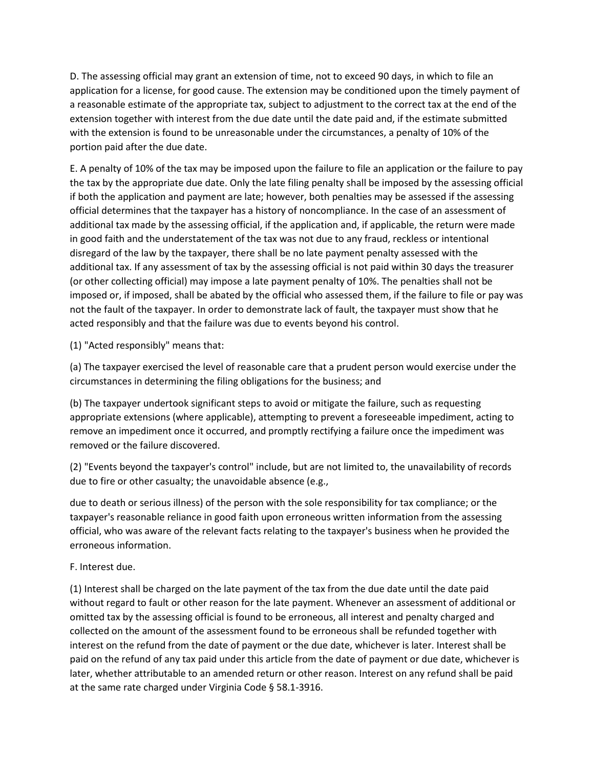D. The assessing official may grant an extension of time, not to exceed 90 days, in which to file an application for a license, for good cause. The extension may be conditioned upon the timely payment of a reasonable estimate of the appropriate tax, subject to adjustment to the correct tax at the end of the extension together with interest from the due date until the date paid and, if the estimate submitted with the extension is found to be unreasonable under the circumstances, a penalty of 10% of the portion paid after the due date.

E. A penalty of 10% of the tax may be imposed upon the failure to file an application or the failure to pay the tax by the appropriate due date. Only the late filing penalty shall be imposed by the assessing official if both the application and payment are late; however, both penalties may be assessed if the assessing official determines that the taxpayer has a history of noncompliance. In the case of an assessment of additional tax made by the assessing official, if the application and, if applicable, the return were made in good faith and the understatement of the tax was not due to any fraud, reckless or intentional disregard of the law by the taxpayer, there shall be no late payment penalty assessed with the additional tax. If any assessment of tax by the assessing official is not paid within 30 days the treasurer (or other collecting official) may impose a late payment penalty of 10%. The penalties shall not be imposed or, if imposed, shall be abated by the official who assessed them, if the failure to file or pay was not the fault of the taxpayer. In order to demonstrate lack of fault, the taxpayer must show that he acted responsibly and that the failure was due to events beyond his control.

(1) "Acted responsibly" means that:

(a) The taxpayer exercised the level of reasonable care that a prudent person would exercise under the circumstances in determining the filing obligations for the business; and

(b) The taxpayer undertook significant steps to avoid or mitigate the failure, such as requesting appropriate extensions (where applicable), attempting to prevent a foreseeable impediment, acting to remove an impediment once it occurred, and promptly rectifying a failure once the impediment was removed or the failure discovered.

(2) "Events beyond the taxpayer's control" include, but are not limited to, the unavailability of records due to fire or other casualty; the unavoidable absence (e.g.,

due to death or serious illness) of the person with the sole responsibility for tax compliance; or the taxpayer's reasonable reliance in good faith upon erroneous written information from the assessing official, who was aware of the relevant facts relating to the taxpayer's business when he provided the erroneous information.

## F. Interest due.

(1) Interest shall be charged on the late payment of the tax from the due date until the date paid without regard to fault or other reason for the late payment. Whenever an assessment of additional or omitted tax by the assessing official is found to be erroneous, all interest and penalty charged and collected on the amount of the assessment found to be erroneous shall be refunded together with interest on the refund from the date of payment or the due date, whichever is later. Interest shall be paid on the refund of any tax paid under this article from the date of payment or due date, whichever is later, whether attributable to an amended return or other reason. Interest on any refund shall be paid at the same rate charged under Virginia Code § 58.1-3916.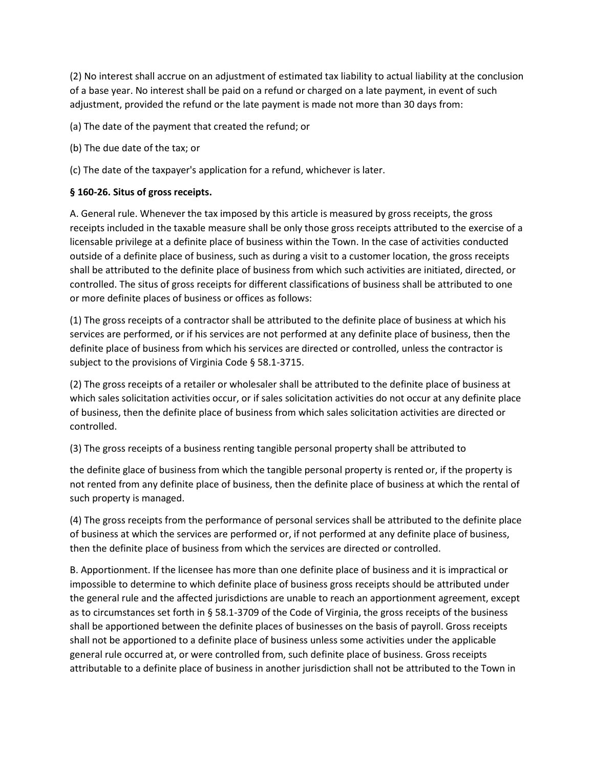(2) No interest shall accrue on an adjustment of estimated tax liability to actual liability at the conclusion of a base year. No interest shall be paid on a refund or charged on a late payment, in event of such adjustment, provided the refund or the late payment is made not more than 30 days from:

(a) The date of the payment that created the refund; or

- (b) The due date of the tax; or
- (c) The date of the taxpayer's application for a refund, whichever is later.

## **§ 160-26. Situs of gross receipts.**

A. General rule. Whenever the tax imposed by this article is measured by gross receipts, the gross receipts included in the taxable measure shall be only those gross receipts attributed to the exercise of a licensable privilege at a definite place of business within the Town. In the case of activities conducted outside of a definite place of business, such as during a visit to a customer location, the gross receipts shall be attributed to the definite place of business from which such activities are initiated, directed, or controlled. The situs of gross receipts for different classifications of business shall be attributed to one or more definite places of business or offices as follows:

(1) The gross receipts of a contractor shall be attributed to the definite place of business at which his services are performed, or if his services are not performed at any definite place of business, then the definite place of business from which his services are directed or controlled, unless the contractor is subject to the provisions of Virginia Code § 58.1-3715.

(2) The gross receipts of a retailer or wholesaler shall be attributed to the definite place of business at which sales solicitation activities occur, or if sales solicitation activities do not occur at any definite place of business, then the definite place of business from which sales solicitation activities are directed or controlled.

(3) The gross receipts of a business renting tangible personal property shall be attributed to

the definite glace of business from which the tangible personal property is rented or, if the property is not rented from any definite place of business, then the definite place of business at which the rental of such property is managed.

(4) The gross receipts from the performance of personal services shall be attributed to the definite place of business at which the services are performed or, if not performed at any definite place of business, then the definite place of business from which the services are directed or controlled.

B. Apportionment. If the licensee has more than one definite place of business and it is impractical or impossible to determine to which definite place of business gross receipts should be attributed under the general rule and the affected jurisdictions are unable to reach an apportionment agreement, except as to circumstances set forth in § 58.1-3709 of the Code of Virginia, the gross receipts of the business shall be apportioned between the definite places of businesses on the basis of payroll. Gross receipts shall not be apportioned to a definite place of business unless some activities under the applicable general rule occurred at, or were controlled from, such definite place of business. Gross receipts attributable to a definite place of business in another jurisdiction shall not be attributed to the Town in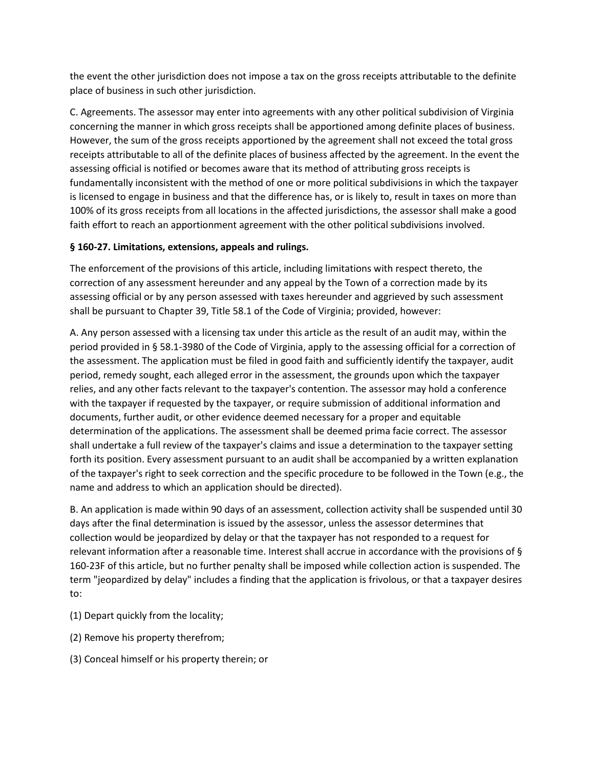the event the other jurisdiction does not impose a tax on the gross receipts attributable to the definite place of business in such other jurisdiction.

C. Agreements. The assessor may enter into agreements with any other political subdivision of Virginia concerning the manner in which gross receipts shall be apportioned among definite places of business. However, the sum of the gross receipts apportioned by the agreement shall not exceed the total gross receipts attributable to all of the definite places of business affected by the agreement. In the event the assessing official is notified or becomes aware that its method of attributing gross receipts is fundamentally inconsistent with the method of one or more political subdivisions in which the taxpayer is licensed to engage in business and that the difference has, or is likely to, result in taxes on more than 100% of its gross receipts from all locations in the affected jurisdictions, the assessor shall make a good faith effort to reach an apportionment agreement with the other political subdivisions involved.

## **§ 160-27. Limitations, extensions, appeals and rulings.**

The enforcement of the provisions of this article, including limitations with respect thereto, the correction of any assessment hereunder and any appeal by the Town of a correction made by its assessing official or by any person assessed with taxes hereunder and aggrieved by such assessment shall be pursuant to Chapter 39, Title 58.1 of the Code of Virginia; provided, however:

A. Any person assessed with a licensing tax under this article as the result of an audit may, within the period provided in § 58.1-3980 of the Code of Virginia, apply to the assessing official for a correction of the assessment. The application must be filed in good faith and sufficiently identify the taxpayer, audit period, remedy sought, each alleged error in the assessment, the grounds upon which the taxpayer relies, and any other facts relevant to the taxpayer's contention. The assessor may hold a conference with the taxpayer if requested by the taxpayer, or require submission of additional information and documents, further audit, or other evidence deemed necessary for a proper and equitable determination of the applications. The assessment shall be deemed prima facie correct. The assessor shall undertake a full review of the taxpayer's claims and issue a determination to the taxpayer setting forth its position. Every assessment pursuant to an audit shall be accompanied by a written explanation of the taxpayer's right to seek correction and the specific procedure to be followed in the Town (e.g., the name and address to which an application should be directed).

B. An application is made within 90 days of an assessment, collection activity shall be suspended until 30 days after the final determination is issued by the assessor, unless the assessor determines that collection would be jeopardized by delay or that the taxpayer has not responded to a request for relevant information after a reasonable time. Interest shall accrue in accordance with the provisions of § 160-23F of this article, but no further penalty shall be imposed while collection action is suspended. The term "jeopardized by delay" includes a finding that the application is frivolous, or that a taxpayer desires to:

- (1) Depart quickly from the locality;
- (2) Remove his property therefrom;
- (3) Conceal himself or his property therein; or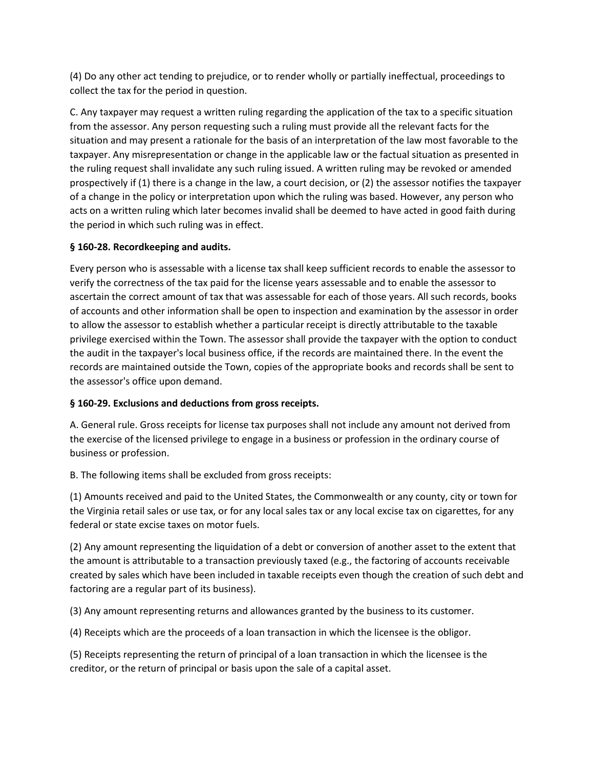(4) Do any other act tending to prejudice, or to render wholly or partially ineffectual, proceedings to collect the tax for the period in question.

C. Any taxpayer may request a written ruling regarding the application of the tax to a specific situation from the assessor. Any person requesting such a ruling must provide all the relevant facts for the situation and may present a rationale for the basis of an interpretation of the law most favorable to the taxpayer. Any misrepresentation or change in the applicable law or the factual situation as presented in the ruling request shall invalidate any such ruling issued. A written ruling may be revoked or amended prospectively if (1) there is a change in the law, a court decision, or (2) the assessor notifies the taxpayer of a change in the policy or interpretation upon which the ruling was based. However, any person who acts on a written ruling which later becomes invalid shall be deemed to have acted in good faith during the period in which such ruling was in effect.

# **§ 160-28. Recordkeeping and audits.**

Every person who is assessable with a license tax shall keep sufficient records to enable the assessor to verify the correctness of the tax paid for the license years assessable and to enable the assessor to ascertain the correct amount of tax that was assessable for each of those years. All such records, books of accounts and other information shall be open to inspection and examination by the assessor in order to allow the assessor to establish whether a particular receipt is directly attributable to the taxable privilege exercised within the Town. The assessor shall provide the taxpayer with the option to conduct the audit in the taxpayer's local business office, if the records are maintained there. In the event the records are maintained outside the Town, copies of the appropriate books and records shall be sent to the assessor's office upon demand.

# **§ 160-29. Exclusions and deductions from gross receipts.**

A. General rule. Gross receipts for license tax purposes shall not include any amount not derived from the exercise of the licensed privilege to engage in a business or profession in the ordinary course of business or profession.

B. The following items shall be excluded from gross receipts:

(1) Amounts received and paid to the United States, the Commonwealth or any county, city or town for the Virginia retail sales or use tax, or for any local sales tax or any local excise tax on cigarettes, for any federal or state excise taxes on motor fuels.

(2) Any amount representing the liquidation of a debt or conversion of another asset to the extent that the amount is attributable to a transaction previously taxed (e.g., the factoring of accounts receivable created by sales which have been included in taxable receipts even though the creation of such debt and factoring are a regular part of its business).

(3) Any amount representing returns and allowances granted by the business to its customer.

(4) Receipts which are the proceeds of a loan transaction in which the licensee is the obligor.

(5) Receipts representing the return of principal of a loan transaction in which the licensee is the creditor, or the return of principal or basis upon the sale of a capital asset.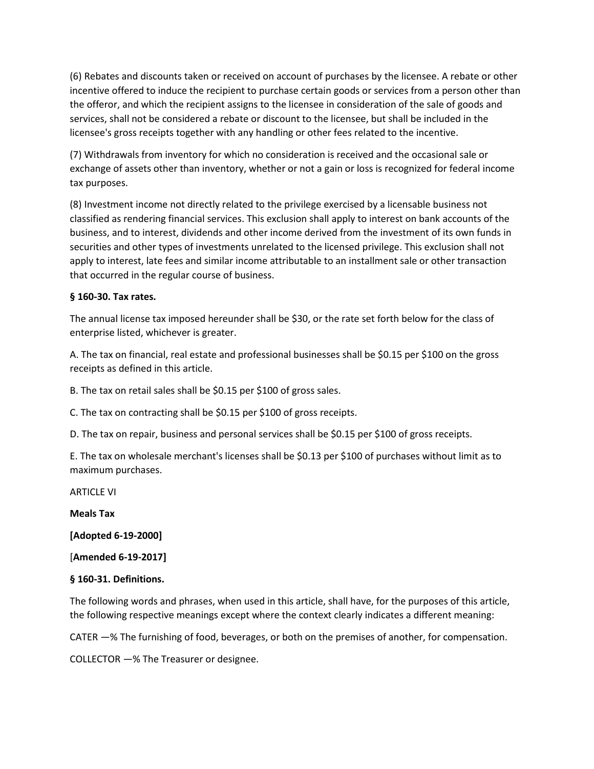(6) Rebates and discounts taken or received on account of purchases by the licensee. A rebate or other incentive offered to induce the recipient to purchase certain goods or services from a person other than the offeror, and which the recipient assigns to the licensee in consideration of the sale of goods and services, shall not be considered a rebate or discount to the licensee, but shall be included in the licensee's gross receipts together with any handling or other fees related to the incentive.

(7) Withdrawals from inventory for which no consideration is received and the occasional sale or exchange of assets other than inventory, whether or not a gain or loss is recognized for federal income tax purposes.

(8) Investment income not directly related to the privilege exercised by a licensable business not classified as rendering financial services. This exclusion shall apply to interest on bank accounts of the business, and to interest, dividends and other income derived from the investment of its own funds in securities and other types of investments unrelated to the licensed privilege. This exclusion shall not apply to interest, late fees and similar income attributable to an installment sale or other transaction that occurred in the regular course of business.

## **§ 160-30. Tax rates.**

The annual license tax imposed hereunder shall be \$30, or the rate set forth below for the class of enterprise listed, whichever is greater.

A. The tax on financial, real estate and professional businesses shall be \$0.15 per \$100 on the gross receipts as defined in this article.

B. The tax on retail sales shall be \$0.15 per \$100 of gross sales.

C. The tax on contracting shall be \$0.15 per \$100 of gross receipts.

D. The tax on repair, business and personal services shall be \$0.15 per \$100 of gross receipts.

E. The tax on wholesale merchant's licenses shall be \$0.13 per \$100 of purchases without limit as to maximum purchases.

ARTICLE VI

**Meals Tax** 

**[Adopted 6-19-2000]** 

[**Amended 6-19-2017]** 

## **§ 160-31. Definitions.**

The following words and phrases, when used in this article, shall have, for the purposes of this article, the following respective meanings except where the context clearly indicates a different meaning:

CATER —% The furnishing of food, beverages, or both on the premises of another, for compensation.

COLLECTOR —% The Treasurer or designee.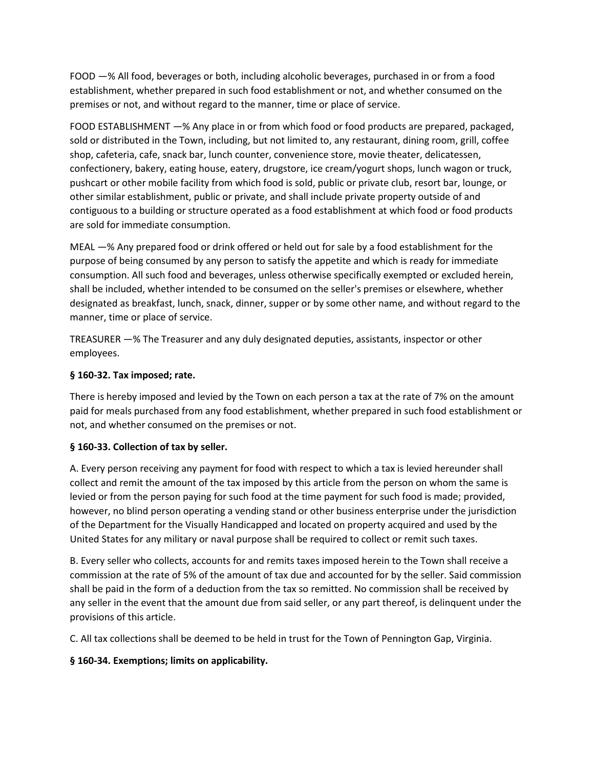FOOD —% All food, beverages or both, including alcoholic beverages, purchased in or from a food establishment, whether prepared in such food establishment or not, and whether consumed on the premises or not, and without regard to the manner, time or place of service.

FOOD ESTABLISHMENT —% Any place in or from which food or food products are prepared, packaged, sold or distributed in the Town, including, but not limited to, any restaurant, dining room, grill, coffee shop, cafeteria, cafe, snack bar, lunch counter, convenience store, movie theater, delicatessen, confectionery, bakery, eating house, eatery, drugstore, ice cream/yogurt shops, lunch wagon or truck, pushcart or other mobile facility from which food is sold, public or private club, resort bar, lounge, or other similar establishment, public or private, and shall include private property outside of and contiguous to a building or structure operated as a food establishment at which food or food products are sold for immediate consumption.

MEAL —% Any prepared food or drink offered or held out for sale by a food establishment for the purpose of being consumed by any person to satisfy the appetite and which is ready for immediate consumption. All such food and beverages, unless otherwise specifically exempted or excluded herein, shall be included, whether intended to be consumed on the seller's premises or elsewhere, whether designated as breakfast, lunch, snack, dinner, supper or by some other name, and without regard to the manner, time or place of service.

TREASURER —% The Treasurer and any duly designated deputies, assistants, inspector or other employees.

# **§ 160-32. Tax imposed; rate.**

There is hereby imposed and levied by the Town on each person a tax at the rate of 7% on the amount paid for meals purchased from any food establishment, whether prepared in such food establishment or not, and whether consumed on the premises or not.

# **§ 160-33. Collection of tax by seller.**

A. Every person receiving any payment for food with respect to which a tax is levied hereunder shall collect and remit the amount of the tax imposed by this article from the person on whom the same is levied or from the person paying for such food at the time payment for such food is made; provided, however, no blind person operating a vending stand or other business enterprise under the jurisdiction of the Department for the Visually Handicapped and located on property acquired and used by the United States for any military or naval purpose shall be required to collect or remit such taxes.

B. Every seller who collects, accounts for and remits taxes imposed herein to the Town shall receive a commission at the rate of 5% of the amount of tax due and accounted for by the seller. Said commission shall be paid in the form of a deduction from the tax so remitted. No commission shall be received by any seller in the event that the amount due from said seller, or any part thereof, is delinquent under the provisions of this article.

C. All tax collections shall be deemed to be held in trust for the Town of Pennington Gap, Virginia.

# **§ 160-34. Exemptions; limits on applicability.**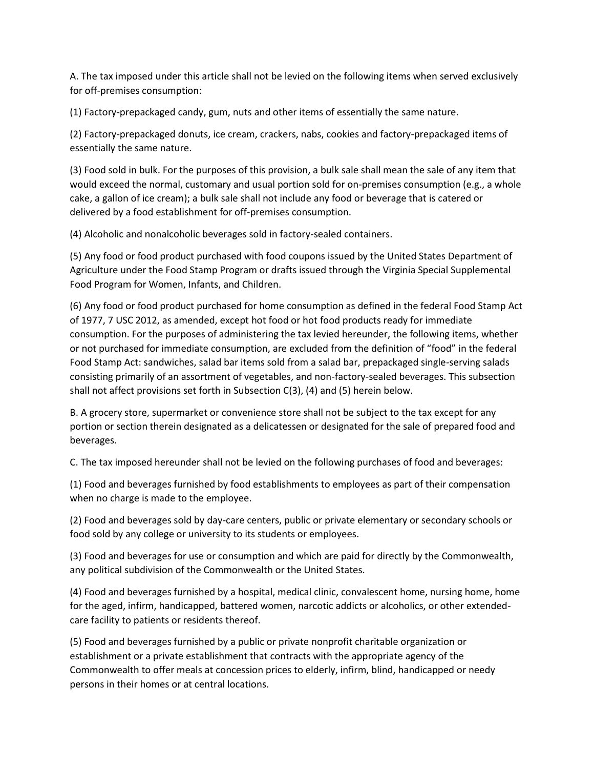A. The tax imposed under this article shall not be levied on the following items when served exclusively for off-premises consumption:

(1) Factory-prepackaged candy, gum, nuts and other items of essentially the same nature.

(2) Factory-prepackaged donuts, ice cream, crackers, nabs, cookies and factory-prepackaged items of essentially the same nature.

(3) Food sold in bulk. For the purposes of this provision, a bulk sale shall mean the sale of any item that would exceed the normal, customary and usual portion sold for on-premises consumption (e.g., a whole cake, a gallon of ice cream); a bulk sale shall not include any food or beverage that is catered or delivered by a food establishment for off-premises consumption.

(4) Alcoholic and nonalcoholic beverages sold in factory-sealed containers.

(5) Any food or food product purchased with food coupons issued by the United States Department of Agriculture under the Food Stamp Program or drafts issued through the Virginia Special Supplemental Food Program for Women, Infants, and Children.

(6) Any food or food product purchased for home consumption as defined in the federal Food Stamp Act of 1977, 7 USC 2012, as amended, except hot food or hot food products ready for immediate consumption. For the purposes of administering the tax levied hereunder, the following items, whether or not purchased for immediate consumption, are excluded from the definition of "food" in the federal Food Stamp Act: sandwiches, salad bar items sold from a salad bar, prepackaged single-serving salads consisting primarily of an assortment of vegetables, and non-factory-sealed beverages. This subsection shall not affect provisions set forth in Subsection C(3), (4) and (5) herein below.

B. A grocery store, supermarket or convenience store shall not be subject to the tax except for any portion or section therein designated as a delicatessen or designated for the sale of prepared food and beverages.

C. The tax imposed hereunder shall not be levied on the following purchases of food and beverages:

(1) Food and beverages furnished by food establishments to employees as part of their compensation when no charge is made to the employee.

(2) Food and beverages sold by day-care centers, public or private elementary or secondary schools or food sold by any college or university to its students or employees.

(3) Food and beverages for use or consumption and which are paid for directly by the Commonwealth, any political subdivision of the Commonwealth or the United States.

(4) Food and beverages furnished by a hospital, medical clinic, convalescent home, nursing home, home for the aged, infirm, handicapped, battered women, narcotic addicts or alcoholics, or other extendedcare facility to patients or residents thereof.

(5) Food and beverages furnished by a public or private nonprofit charitable organization or establishment or a private establishment that contracts with the appropriate agency of the Commonwealth to offer meals at concession prices to elderly, infirm, blind, handicapped or needy persons in their homes or at central locations.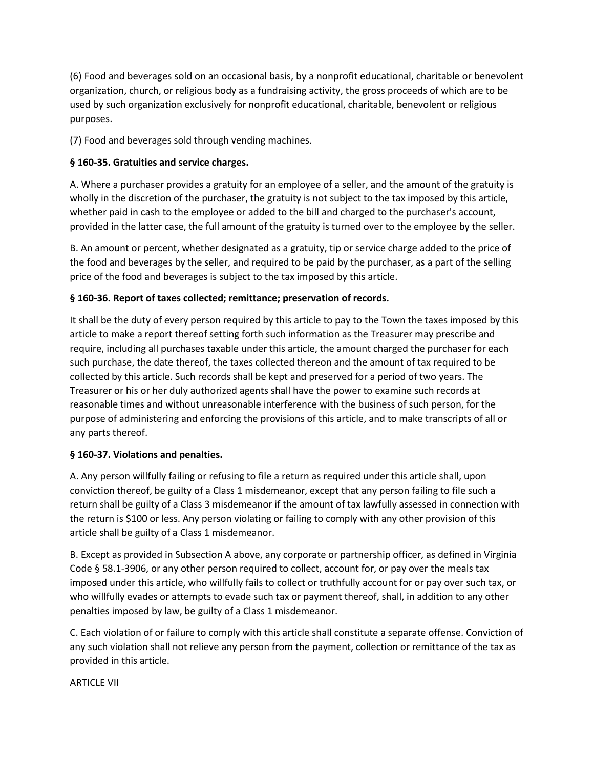(6) Food and beverages sold on an occasional basis, by a nonprofit educational, charitable or benevolent organization, church, or religious body as a fundraising activity, the gross proceeds of which are to be used by such organization exclusively for nonprofit educational, charitable, benevolent or religious purposes.

(7) Food and beverages sold through vending machines.

# **§ 160-35. Gratuities and service charges.**

A. Where a purchaser provides a gratuity for an employee of a seller, and the amount of the gratuity is wholly in the discretion of the purchaser, the gratuity is not subject to the tax imposed by this article, whether paid in cash to the employee or added to the bill and charged to the purchaser's account, provided in the latter case, the full amount of the gratuity is turned over to the employee by the seller.

B. An amount or percent, whether designated as a gratuity, tip or service charge added to the price of the food and beverages by the seller, and required to be paid by the purchaser, as a part of the selling price of the food and beverages is subject to the tax imposed by this article.

# **§ 160-36. Report of taxes collected; remittance; preservation of records.**

It shall be the duty of every person required by this article to pay to the Town the taxes imposed by this article to make a report thereof setting forth such information as the Treasurer may prescribe and require, including all purchases taxable under this article, the amount charged the purchaser for each such purchase, the date thereof, the taxes collected thereon and the amount of tax required to be collected by this article. Such records shall be kept and preserved for a period of two years. The Treasurer or his or her duly authorized agents shall have the power to examine such records at reasonable times and without unreasonable interference with the business of such person, for the purpose of administering and enforcing the provisions of this article, and to make transcripts of all or any parts thereof.

# **§ 160-37. Violations and penalties.**

A. Any person willfully failing or refusing to file a return as required under this article shall, upon conviction thereof, be guilty of a Class 1 misdemeanor, except that any person failing to file such a return shall be guilty of a Class 3 misdemeanor if the amount of tax lawfully assessed in connection with the return is \$100 or less. Any person violating or failing to comply with any other provision of this article shall be guilty of a Class 1 misdemeanor.

B. Except as provided in Subsection A above, any corporate or partnership officer, as defined in Virginia Code § 58.1-3906, or any other person required to collect, account for, or pay over the meals tax imposed under this article, who willfully fails to collect or truthfully account for or pay over such tax, or who willfully evades or attempts to evade such tax or payment thereof, shall, in addition to any other penalties imposed by law, be guilty of a Class 1 misdemeanor.

C. Each violation of or failure to comply with this article shall constitute a separate offense. Conviction of any such violation shall not relieve any person from the payment, collection or remittance of the tax as provided in this article.

# ARTICLE VII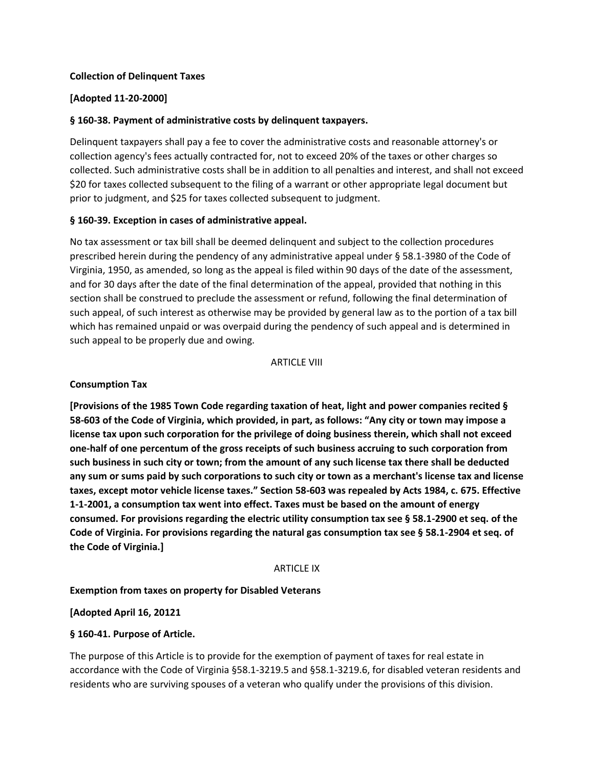#### **Collection of Delinquent Taxes**

## **[Adopted 11-20-2000]**

## **§ 160-38. Payment of administrative costs by delinquent taxpayers.**

Delinquent taxpayers shall pay a fee to cover the administrative costs and reasonable attorney's or collection agency's fees actually contracted for, not to exceed 20% of the taxes or other charges so collected. Such administrative costs shall be in addition to all penalties and interest, and shall not exceed \$20 for taxes collected subsequent to the filing of a warrant or other appropriate legal document but prior to judgment, and \$25 for taxes collected subsequent to judgment.

#### **§ 160-39. Exception in cases of administrative appeal.**

No tax assessment or tax bill shall be deemed delinquent and subject to the collection procedures prescribed herein during the pendency of any administrative appeal under § 58.1-3980 of the Code of Virginia, 1950, as amended, so long as the appeal is filed within 90 days of the date of the assessment, and for 30 days after the date of the final determination of the appeal, provided that nothing in this section shall be construed to preclude the assessment or refund, following the final determination of such appeal, of such interest as otherwise may be provided by general law as to the portion of a tax bill which has remained unpaid or was overpaid during the pendency of such appeal and is determined in such appeal to be properly due and owing.

#### ARTICLE VIII

#### **Consumption Tax**

**[Provisions of the 1985 Town Code regarding taxation of heat, light and power companies recited § 58-603 of the Code of Virginia, which provided, in part, as follows: "Any city or town may impose a license tax upon such corporation for the privilege of doing business therein, which shall not exceed one-half of one percentum of the gross receipts of such business accruing to such corporation from such business in such city or town; from the amount of any such license tax there shall be deducted any sum or sums paid by such corporations to such city or town as a merchant's license tax and license taxes, except motor vehicle license taxes." Section 58-603 was repealed by Acts 1984, c. 675. Effective 1-1-2001, a consumption tax went into effect. Taxes must be based on the amount of energy consumed. For provisions regarding the electric utility consumption tax see § 58.1-2900 et seq. of the Code of Virginia. For provisions regarding the natural gas consumption tax see § 58.1-2904 et seq. of the Code of Virginia.]** 

#### ARTICLE IX

**Exemption from taxes on property for Disabled Veterans** 

## **[Adopted April 16, 20121**

## **§ 160-41. Purpose of Article.**

The purpose of this Article is to provide for the exemption of payment of taxes for real estate in accordance with the Code of Virginia §58.1-3219.5 and §58.1-3219.6, for disabled veteran residents and residents who are surviving spouses of a veteran who qualify under the provisions of this division.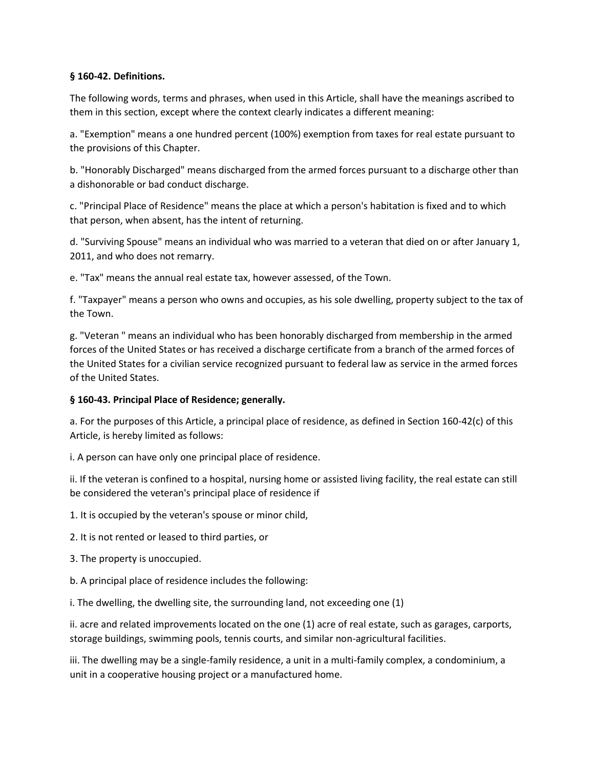## **§ 160-42. Definitions.**

The following words, terms and phrases, when used in this Article, shall have the meanings ascribed to them in this section, except where the context clearly indicates a different meaning:

a. "Exemption" means a one hundred percent (100%) exemption from taxes for real estate pursuant to the provisions of this Chapter.

b. "Honorably Discharged" means discharged from the armed forces pursuant to a discharge other than a dishonorable or bad conduct discharge.

c. "Principal Place of Residence" means the place at which a person's habitation is fixed and to which that person, when absent, has the intent of returning.

d. "Surviving Spouse" means an individual who was married to a veteran that died on or after January 1, 2011, and who does not remarry.

e. "Tax" means the annual real estate tax, however assessed, of the Town.

f. "Taxpayer" means a person who owns and occupies, as his sole dwelling, property subject to the tax of the Town.

g. "Veteran " means an individual who has been honorably discharged from membership in the armed forces of the United States or has received a discharge certificate from a branch of the armed forces of the United States for a civilian service recognized pursuant to federal law as service in the armed forces of the United States.

# **§ 160-43. Principal Place of Residence; generally.**

a. For the purposes of this Article, a principal place of residence, as defined in Section 160-42(c) of this Article, is hereby limited as follows:

i. A person can have only one principal place of residence.

ii. If the veteran is confined to a hospital, nursing home or assisted living facility, the real estate can still be considered the veteran's principal place of residence if

1. It is occupied by the veteran's spouse or minor child,

2. It is not rented or leased to third parties, or

3. The property is unoccupied.

b. A principal place of residence includes the following:

i. The dwelling, the dwelling site, the surrounding land, not exceeding one (1)

ii. acre and related improvements located on the one (1) acre of real estate, such as garages, carports, storage buildings, swimming pools, tennis courts, and similar non-agricultural facilities.

iii. The dwelling may be a single-family residence, a unit in a multi-family complex, a condominium, a unit in a cooperative housing project or a manufactured home.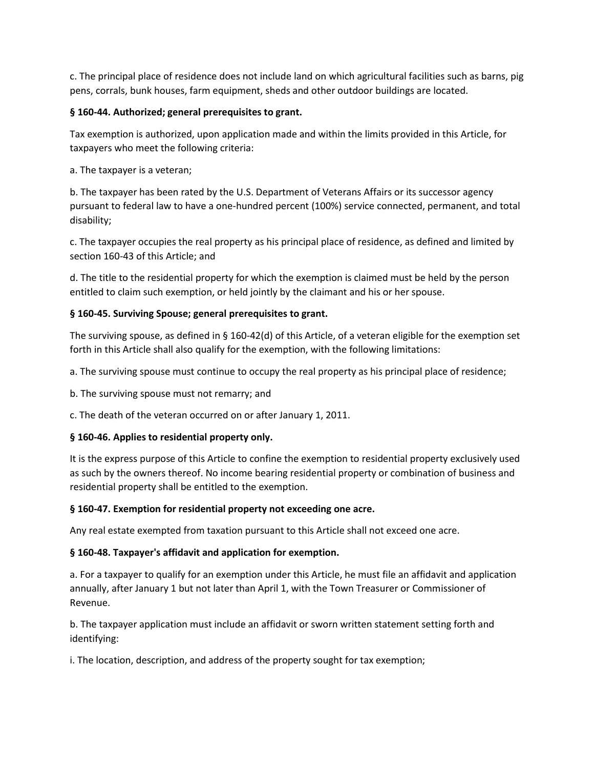c. The principal place of residence does not include land on which agricultural facilities such as barns, pig pens, corrals, bunk houses, farm equipment, sheds and other outdoor buildings are located.

## **§ 160-44. Authorized; general prerequisites to grant.**

Tax exemption is authorized, upon application made and within the limits provided in this Article, for taxpayers who meet the following criteria:

a. The taxpayer is a veteran;

b. The taxpayer has been rated by the U.S. Department of Veterans Affairs or its successor agency pursuant to federal law to have a one-hundred percent (100%) service connected, permanent, and total disability;

c. The taxpayer occupies the real property as his principal place of residence, as defined and limited by section 160-43 of this Article; and

d. The title to the residential property for which the exemption is claimed must be held by the person entitled to claim such exemption, or held jointly by the claimant and his or her spouse.

## **§ 160-45. Surviving Spouse; general prerequisites to grant.**

The surviving spouse, as defined in § 160-42(d) of this Article, of a veteran eligible for the exemption set forth in this Article shall also qualify for the exemption, with the following limitations:

a. The surviving spouse must continue to occupy the real property as his principal place of residence;

b. The surviving spouse must not remarry; and

c. The death of the veteran occurred on or after January 1, 2011.

## **§ 160-46. Applies to residential property only.**

It is the express purpose of this Article to confine the exemption to residential property exclusively used as such by the owners thereof. No income bearing residential property or combination of business and residential property shall be entitled to the exemption.

## **§ 160-47. Exemption for residential property not exceeding one acre.**

Any real estate exempted from taxation pursuant to this Article shall not exceed one acre.

# **§ 160-48. Taxpayer's affidavit and application for exemption.**

a. For a taxpayer to qualify for an exemption under this Article, he must file an affidavit and application annually, after January 1 but not later than April 1, with the Town Treasurer or Commissioner of Revenue.

b. The taxpayer application must include an affidavit or sworn written statement setting forth and identifying:

i. The location, description, and address of the property sought for tax exemption;